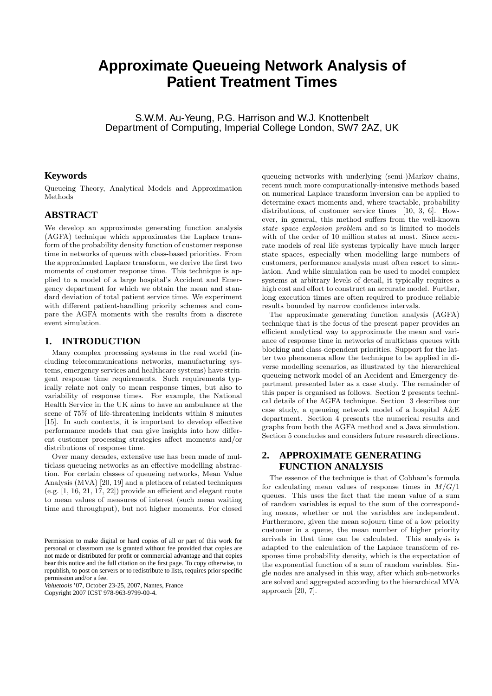# **Approximate Queueing Network Analysis of Patient Treatment Times**

S.W.M. Au-Yeung, P.G. Harrison and W.J. Knottenbelt Department of Computing, Imperial College London, SW7 2AZ, UK

# **Keywords**

Queueing Theory, Analytical Models and Approximation Methods

# **ABSTRACT**

We develop an approximate generating function analysis (AGFA) technique which approximates the Laplace transform of the probability density function of customer response time in networks of queues with class-based priorities. From the approximated Laplace transform, we derive the first two moments of customer response time. This technique is applied to a model of a large hospital's Accident and Emergency department for which we obtain the mean and standard deviation of total patient service time. We experiment with different patient-handling priority schemes and compare the AGFA moments with the results from a discrete event simulation.

# **1. INTRODUCTION**

Many complex processing systems in the real world (including telecommunications networks, manufacturing systems, emergency services and healthcare systems) have stringent response time requirements. Such requirements typically relate not only to mean response times, but also to variability of response times. For example, the National Health Service in the UK aims to have an ambulance at the scene of 75% of life-threatening incidents within 8 minutes [15]. In such contexts, it is important to develop effective performance models that can give insights into how different customer processing strategies affect moments and/or distributions of response time.

Over many decades, extensive use has been made of multiclass queueing networks as an effective modelling abstraction. For certain classes of queueing networks, Mean Value Analysis (MVA) [20, 19] and a plethora of related techniques  $(e.g. [1, 16, 21, 17, 22])$  provide an efficient and elegant route to mean values of measures of interest (such mean waiting time and throughput), but not higher moments. For closed

*Valuetools* '07, October 23-25, 2007, Nantes, France Copyright 2007 ICST 978-963-9799-00-4.

queueing networks with underlying (semi-)Markov chains, recent much more computationally-intensive methods based on numerical Laplace transform inversion can be applied to determine exact moments and, where tractable, probability distributions, of customer service times [10, 3, 6]. However, in general, this method suffers from the well-known state space explosion problem and so is limited to models with of the order of 10 million states at most. Since accurate models of real life systems typically have much larger state spaces, especially when modelling large numbers of customers, performance analysts must often resort to simulation. And while simulation can be used to model complex systems at arbitrary levels of detail, it typically requires a high cost and effort to construct an accurate model. Further, long execution times are often required to produce reliable results bounded by narrow confidence intervals.

The approximate generating function analysis (AGFA) technique that is the focus of the present paper provides an efficient analytical way to approximate the mean and variance of response time in networks of multiclass queues with blocking and class-dependent priorities. Support for the latter two phenomena allow the technique to be applied in diverse modelling scenarios, as illustrated by the hierarchical queueing network model of an Accident and Emergency department presented later as a case study. The remainder of this paper is organised as follows. Section 2 presents technical details of the AGFA technique. Section 3 describes our case study, a queueing network model of a hospital A&E department. Section 4 presents the numerical results and graphs from both the AGFA method and a Java simulation. Section 5 concludes and considers future research directions.

# **2. APPROXIMATE GENERATING FUNCTION ANALYSIS**

The essence of the technique is that of Cobham's formula for calculating mean values of response times in  $M/G/1$ queues. This uses the fact that the mean value of a sum of random variables is equal to the sum of the corresponding means, whether or not the variables are independent. Furthermore, given the mean sojourn time of a low priority customer in a queue, the mean number of higher priority arrivals in that time can be calculated. This analysis is adapted to the calculation of the Laplace transform of response time probability density, which is the expectation of the exponential function of a sum of random variables. Single nodes are analysed in this way, after which sub-networks are solved and aggregated according to the hierarchical MVA approach [20, 7].

Permission to make digital or hard copies of all or part of this work for personal or classroom use is granted without fee provided that copies are not made or distributed for profit or commercial advantage and that copies bear this notice and the full citation on the first page. To copy otherwise, to republish, to post on servers or to redistribute to lists, requires prior specific permission and/or a fee.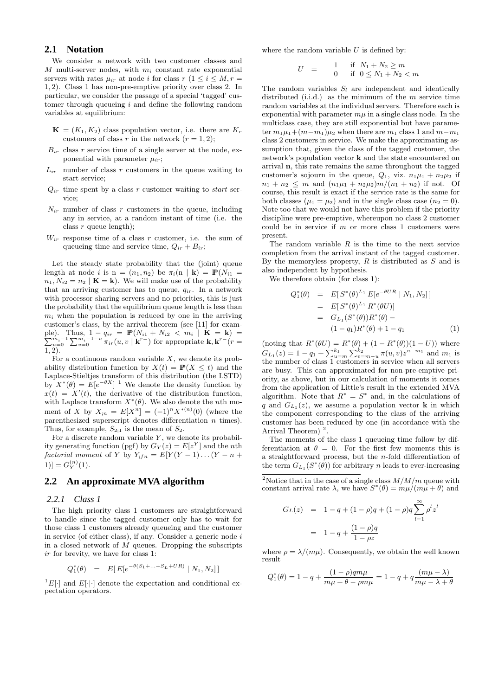# **2.1 Notation**

We consider a network with two customer classes and  $M$  multi-server nodes, with  $m_i$  constant rate exponential servers with rates  $\mu_{ir}$  at node *i* for class  $r$  ( $1 \le i \le M, r =$ 1, 2). Class 1 has non-pre-emptive priority over class 2. In particular, we consider the passage of a special 'tagged' customer through queueing i and define the following random variables at equilibrium:

- $\mathbf{K} = (K_1, K_2)$  class population vector, i.e. there are  $K_r$ customers of class r in the network  $(r = 1, 2);$
- $B_{ir}$  class r service time of a single server at the node, exponential with parameter  $\mu_{ir}$ ;
- $L_{ir}$  number of class r customers in the queue waiting to start service;
- $Q_{ir}$  time spent by a class r customer waiting to start service;
- $N_{ir}$  number of class r customers in the queue, including any in service, at a random instant of time (i.e. the class  $r$  queue length);
- $W_{ir}$  response time of a class r customer, i.e. the sum of queueing time and service time,  $Q_{ir} + B_{ir}$ ;

Let the steady state probability that the (joint) queue length at node i is  $n = (n_1, n_2)$  be  $\pi_i(n | k) = \mathbb{P}(N_{i1} =$  $n_1, N_{i2} = n_2 \mid \mathbf{K} = \mathbf{k}$ . We will make use of the probability that an arriving customer has to queue,  $q_{ir}$ . In a network with processor sharing servers and no priorities, this is just the probability that the equilibrium queue length is less than  $m_i$  when the population is reduced by one in the arriving customer's class, by the arrival theorem (see [11] for example). Thus,  $1 - q_{ir} = \mathbb{P}(N_{i1} + N_{i2} < m_i \mid \mathbf{K} = \mathbf{k}) = \sum_{u=0}^{m_i-1} \sum_{v=0}^{m_i-1-u} \pi_{ir}(u, v \mid \mathbf{k}^{r-})$  for appropriate  $\mathbf{k}, \mathbf{k}^{r-}(r =$ 1, 2).

For a continuous random variable  $X$ , we denote its probability distribution function by  $X(t) = \mathbb{P}(X \leq t)$  and the Laplace-Stieltjes transform of this distribution (the LSTD) by  $X^*(\theta) = E[e^{-\theta X}]^{-1}$  We denote the density function by  $x(t) = X'(t)$ , the derivative of the distribution function, with Laplace transform  $X^*(\theta)$ . We also denote the *n*th moment of X by  $X_{;n} = E[X^n] = (-1)^n X^{*(n)}(0)$  (where the parenthesized superscript denotes differentiation  $n$  times). Thus, for example,  $S_{2:1}$  is the mean of  $S_2$ .

For a discrete random variable  $Y$ , we denote its probability generating function (pgf) by  $G_Y(z) = E[z^Y]$  and the nth factorial moment of Y by  $Y_{;fn} = E[Y(Y-1)...(Y-n+1)]$ 1)] =  $G_Y^{(n)}(1)$ .

#### **2.2 An approximate MVA algorithm**

#### *2.2.1 Class 1*

The high priority class 1 customers are straightforward to handle since the tagged customer only has to wait for those class 1 customers already queueing and the customer in service (of either class), if any. Consider a generic node  $i$ in a closed network of  $M$  queues. Dropping the subscripts ir for brevity, we have for class 1:

$$
Q_1^*(\theta) = E[E[e^{-\theta(S_1 + \dots + S_L + UR)} | N_1, N_2]]
$$

 ${}^{1}E[\cdot]$  and  $E[\cdot]$  denote the expectation and conditional expectation operators.

where the random variable  $U$  is defined by:

$$
U = \begin{array}{cc} 1 & \text{if} \quad N_1 + N_2 \ge m \\ 0 & \text{if} \quad 0 \le N_1 + N_2 < m \end{array}
$$

The random variables  $S_l$  are independent and identically distributed (i.i.d.) as the minimum of the  $m$  service time random variables at the individual servers. Therefore each is exponential with parameter  $m\mu$  in a single class node. In the multiclass case, they are still exponential but have parameter  $m_1\mu_1+(m-m_1)\mu_2$  when there are  $m_1$  class 1 and  $m-m_1$ class 2 customers in service. We make the approximating assumption that, given the class of the tagged customer, the network's population vector k and the state encountered on arrival n, this rate remains the same throughout the tagged customer's sojourn in the queue,  $Q_1$ , viz.  $n_1\mu_1 + n_2\mu_2$  if  $n_1 + n_2 \leq m$  and  $(n_1\mu_1 + n_2\mu_2)m/(n_1 + n_2)$  if not. Of course, this result is exact if the service rate is the same for both classes  $(\mu_1 = \mu_2)$  and in the single class case  $(n_2 = 0)$ . Note too that we would not have this problem if the priority discipline were pre-emptive, whereupon no class 2 customer could be in service if  $m$  or more class 1 customers were present.

The random variable  $R$  is the time to the next service completion from the arrival instant of the tagged customer. By the memoryless property,  $R$  is distributed as  $S$  and is also independent by hypothesis.

We therefore obtain (for class 1):

$$
Q_1^*(\theta) = E[S^*(\theta)^{L_1} E[e^{-\theta UR} | N_1, N_2]]
$$
  
= 
$$
E[S^*(\theta)^{L_1} R^*(\theta U)]
$$
  
= 
$$
G_{L_1}(S^*(\theta))R^*(\theta) -
$$
  

$$
(1 - q_1)R^*(\theta) + 1 - q_1
$$
 (1)

(noting that  $R^*(\theta U) = R^*(\theta) + (1 - R^*(\theta))(1 - U)$ ) where (hoting that  $R(v) = R(v) + (1 - R(v))(1 - v)$ ) where<br>  $G_{L_1}(z) = 1 - q_1 + \sum_{u=m}^{k_1} \sum_{v=m-u}^{k_2} \pi(u, v) z^{u-m_1}$  and  $m_1$  is the number of class 1 customers in service when all servers are busy. This can approximated for non-pre-emptive priority, as above, but in our calculation of moments it comes from the application of Little's result in the extended MVA algorithm. Note that  $R^* = S^*$  and, in the calculations of q and  $G_{L_1}(z)$ , we assume a population vector **k** in which the component corresponding to the class of the arriving customer has been reduced by one (in accordance with the Arrival Theorem)  $<sup>2</sup>$ .</sup>

The moments of the class 1 queueing time follow by differentiation at  $\theta = 0$ . For the first few moments this is a straightforward process, but the  $n$ -fold differentiation of the term  $G_{L_1}(S^*(\theta))$  for arbitrary n leads to ever-increasing

<sup>2</sup>Notice that in the case of a single class  $M/M/m$  queue with constant arrival rate  $\lambda$ , we have  $S^*(\theta) = m\mu/(m\mu + \theta)$  and

$$
G_L(z) = 1 - q + (1 - \rho)q + (1 - \rho)q \sum_{l=1}^{\infty} \rho^l z^l
$$

$$
= 1 - q + \frac{(1 - \rho)q}{1 - \rho z}
$$

where  $\rho = \lambda/(m\mu)$ . Consequently, we obtain the well known result

$$
Q_1^*(\theta) = 1 - q + \frac{(1 - \rho)qm\mu}{m\mu + \theta - \rho m\mu} = 1 - q + q\frac{(m\mu - \lambda)}{m\mu - \lambda + \theta}
$$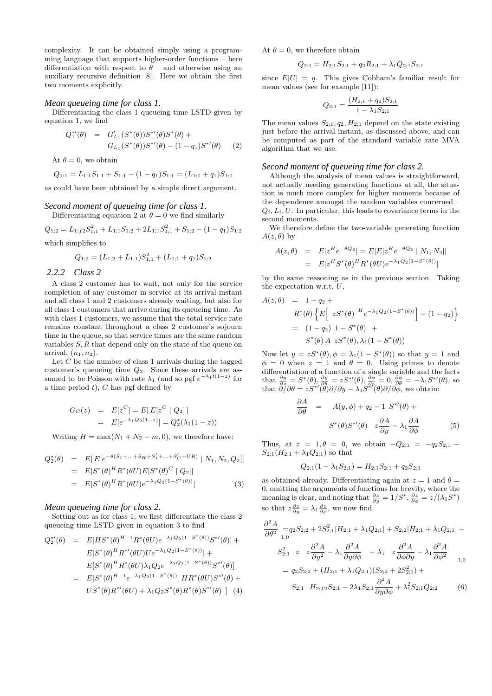complexity. It can be obtained simply using a programming language that supports higher-order functions – here differentiation with respect to  $\theta$  – and otherwise using an auxiliary recursive definition [8]. Here we obtain the first two moments explicitly.

#### *Mean queueing time for class 1.*

Differentiating the class 1 queueing time LSTD given by equation 1, we find

$$
Q_1^{*'}(\theta) = G'_{L_1}(S^*(\theta))S^{*'}(\theta)S^*(\theta) +
$$
  
\n
$$
G_{L_1}(S^*(\theta))S^{*'}(\theta) - (1 - q_1)S^{*'}(\theta)
$$
 (2)

At  $\theta = 0$ , we obtain

$$
Q_{1;1} = L_{1;1}S_{1;1} + S_{1;1} - (1 - q_1)S_{1;1} = (L_{1;1} + q_1)S_{1;1}
$$

as could have been obtained by a simple direct argument.

#### *Second moment of queueing time for class 1.* Differentiating equation 2 at  $\theta = 0$  we find similarly

 $Q_{1;2} = L_{1;f2}S_{1;1}^2 + L_{1;1}S_{1;2} + 2L_{1;1}S_{1;1}^2 + S_{1;2} - (1 - q_1)S_{1;2}$ 

which simplifies to

$$
Q_{1;2} = (L_{1;2} + L_{1;1})S_{1;1}^2 + (L_{1;1} + q_1)S_{1;2}
$$

#### *2.2.2 Class 2*

A class 2 customer has to wait, not only for the service completion of any customer in service at its arrival instant and all class 1 and 2 customers already waiting, but also for all class 1 customers that arrive during its queueing time. As with class 1 customers, we assume that the total service rate remains constant throughout a class 2 customer's sojourn time in the queue, so that service times are the same random variables S, R that depend only on the state of the queue on arrival,  $(n_1, n_2)$ .

Let  $C$  be the number of class 1 arrivals during the tagged customer's queueing time  $Q_2$ . Since these arrivals are assumed to be Poisson with rate  $\lambda_1$  (and so pgf  $e^{-\lambda_1 t(1-z)}$  for a time period  $t$ ),  $C$  has pgf defined by

$$
G_C(z) = E[z^C] = E[E[z^C | Q_2]]
$$
  
= 
$$
E[e^{-\lambda_1 Q_2(1-z)}] = Q_2^*(\lambda_1(1-z))
$$

Writing  $H = \max(N_1 + N_2 - m, 0)$ , we therefore have:

$$
Q_2^*(\theta) = E[E[e^{-\theta(S_1 + \dots + S_H + S_1' + \dots + S_C' + UR)} | N_1, N_2, Q_2]]
$$
  
= 
$$
E[S^*(\theta)^H R^*(\theta U) E[S^*(\theta)^C | Q_2]]
$$
  
= 
$$
E[S^*(\theta)^H R^*(\theta U) e^{-\lambda_1 Q_2(1 - S^*(\theta))}]
$$
(3)

#### *Mean queueing time for class 2.*

Setting out as for class 1, we first differentiate the class 2 queueing time LSTD given in equation 3 to find

$$
Q_2^{*'}(\theta) = E[HS^*(\theta)^{H-1} R^*(\theta U) e^{-\lambda_1 Q_2(1-S^*(\theta))} S^{*'}(\theta)] +
$$
  
\n
$$
E[S^*(\theta)^H R^{*'}(\theta U) U e^{-\lambda_1 Q_2(1-S^*(\theta))}] +
$$
  
\n
$$
E[S^*(\theta)^H R^*(\theta U) \lambda_1 Q_2 e^{-\lambda_1 Q_2(1-S^*(\theta))} S^{*'}(\theta)]
$$
  
\n
$$
= E[S^*(\theta)^{H-1} e^{-\lambda_1 Q_2(1-S^*(\theta))} HR^*(\theta U) S^{*'}(\theta) +
$$
  
\n
$$
US^*(\theta) R^{*'}(\theta U) + \lambda_1 Q_2 S^*(\theta) R^*(\theta) S^{*'}(\theta) ] (4)
$$

At  $\theta = 0$ , we therefore obtain

$$
Q_{2;1} = H_{2;1}S_{2;1} + q_2R_{2;1} + \lambda_1Q_{2;1}S_{2;1}
$$

since  $E[U] = q$ . This gives Cobham's familiar result for mean values (see for example [11]):

$$
Q_{2;1} = \frac{(H_{2;1} + q_2)S_{2;1}}{1 - \lambda_1 S_{2;1}}
$$

The mean values  $S_{2,1}, q_2, H_{2,1}$  depend on the state existing just before the arrival instant, as discussed above, and can be computed as part of the standard variable rate MVA algorithm that we use.

#### *Second moment of queueing time for class 2.*

Although the analysis of mean values is straightforward, not actually needing generating functions at all, the situation is much more complex for higher moments because of the dependence amongst the random variables concerned –  $Q_i, L_i, U$ . In particular, this leads to covariance terms in the second moments.

We therefore define the two-variable generating function  $A(z, \theta)$  by

$$
A(z,\theta) = E[z^H e^{-\theta Q_2}] = E[E[z^H e^{-\theta Q_2} | N_1, N_2]]
$$
  
= 
$$
E[z^H S^*(\theta)^H R^*(\theta U) e^{-\lambda_1 Q_2(1 - S^*(\theta))}]
$$

by the same reasoning as in the previous section. Taking the expectation w.r.t.  $U$ ,

$$
A(z, \theta) = 1 - q_2 +
$$
  
\n
$$
R^*(\theta) \left\{ E \Big[ z S^*(\theta) \Big]^{H} e^{-\lambda_1 Q_2(1 - S^*(\theta))} \Big] - (1 - q_2) \right\}
$$
  
\n
$$
= (1 - q_2) 1 - S^*(\theta) +
$$
  
\n
$$
S^*(\theta) A z S^*(\theta), \lambda_1 (1 - S^*(\theta))
$$

Now let  $y = zS^*(\theta), \phi = \lambda_1(1 - S^*(\theta))$  so that  $y = 1$  and  $\phi = 0$  when  $z = 1$  and  $\theta = 0$ . Using primes to denote differentiation of a function of a single variable and the facts that  $\frac{\partial y}{\partial z} = S^*(\theta), \frac{\partial y}{\partial \theta} = zS^{*\prime}(\theta), \frac{\partial \phi}{\partial z} = 0, \frac{\partial \phi}{\partial \theta} = -\lambda_1 S^{*\prime}(\theta)$ , so that  $\partial \tilde{\partial}/\partial \theta = zS^* (\theta) \partial/\partial y - \lambda_1 S^{*f}(\theta) \partial/\partial \phi$ , we obtain:

$$
\frac{\partial A}{\partial \theta} = A(y, \phi) + q_2 - 1 \ S^{*'}(\theta) + S^{*}(\theta) S^{*'}(\theta) \ z \frac{\partial A}{\partial y} - \lambda_1 \frac{\partial A}{\partial \phi}
$$
(5)

Thus, at  $z = 1, \theta = 0$ , we obtain  $-Q_{2,1} = -q_2S_{2,1}$  $S_{2;1}(H_{2;1} + \lambda_1 Q_{2;1})$  so that

$$
Q_{2;1}(1 - \lambda_1 S_{2;1}) = H_{2;1} S_{2;1} + q_2 S_{2;1}
$$

as obtained already. Differentiating again at  $z = 1$  and  $\theta =$ 0, omitting the arguments of functions for brevity, where the meaning is clear, and noting that  $\frac{\partial z}{\partial y} = 1/S^*, \frac{\partial z}{\partial \phi} = z/(\lambda_1 S^*)$ so that  $z\frac{\partial z}{\partial y} = \lambda_1 \frac{\partial z}{\partial \phi}$ , we now find

$$
\frac{\partial^2 A}{\partial \theta^2} = q_2 S_{2;2} + 2S_{2;1}^2 [H_{2;1} + \lambda_1 Q_{2;1}] + S_{2;2} [H_{2;1} + \lambda_1 Q_{2;1}] -
$$
  
\n
$$
S_{2;1}^2 \ z \ z \frac{\partial^2 A}{\partial y^2} - \lambda_1 \frac{\partial^2 A}{\partial y \partial \phi} - \lambda_1 \ z \frac{\partial^2 A}{\partial \phi \partial y} - \lambda_1 \frac{\partial^2 A}{\partial \phi^2} -
$$
  
\n
$$
= q_2 S_{2;2} + (H_{2;1} + \lambda_1 Q_{2;1}) (S_{2;2} + 2S_{2;1}^2) +
$$

$$
S_{2;1} \quad H_{2;f2}S_{2;1} - 2\lambda_1 S_{2;1} \frac{\partial^2 A}{\partial y \partial \phi} + \lambda_1^2 S_{2;1} Q_{2;2} \tag{6}
$$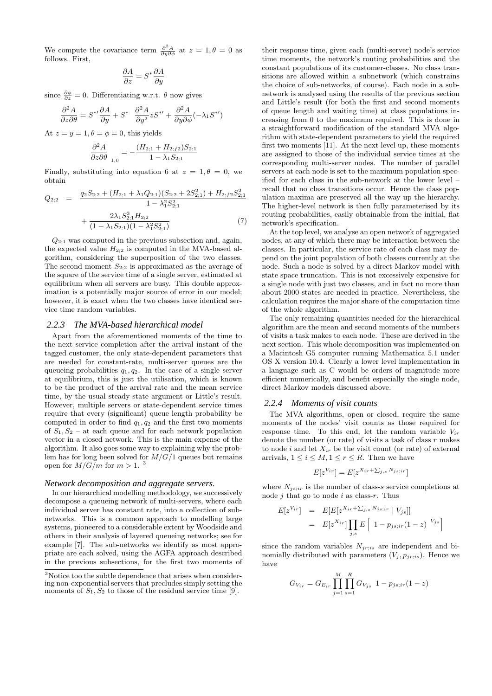We compute the covariance term  $\frac{\partial^2 A}{\partial y \partial \phi}$  at  $z = 1, \theta = 0$  as follows. First,

$$
\frac{\partial A}{\partial z} = S^* \frac{\partial A}{\partial y}
$$

since  $\frac{\partial \phi}{\partial z} = 0$ . Differentiating w.r.t.  $\theta$  now gives

$$
\frac{\partial^2 A}{\partial z \partial \theta} = S^{*} \frac{\partial A}{\partial y} + S^* \frac{\partial^2 A}{\partial y^2} z S^{*} + \frac{\partial^2 A}{\partial y \partial \phi} (-\lambda_1 S^{*}')
$$

At  $z = y = 1, \theta = \phi = 0$ , this yields

$$
\frac{\partial^2 A}{\partial z \partial \theta}_{1,0} = -\frac{(H_{2;1} + H_{2;f2})S_{2;1}}{1 - \lambda_1 S_{2;1}}
$$

Finally, substituting into equation 6 at  $z = 1, \theta = 0$ , we obtain

$$
Q_{2;2} = \frac{q_2 S_{2;2} + (H_{2;1} + \lambda_1 Q_{2;1})(S_{2;2} + 2S_{2;1}^2) + H_{2;f2} S_{2;1}^2}{1 - \lambda_1^2 S_{2;1}^2} + \frac{2\lambda_1 S_{2;1}^3 H_{2;2}}{(1 - \lambda_1 S_{2;1})(1 - \lambda_1^2 S_{2;1}^2)}
$$
(7)

 $Q_{2,1}$  was computed in the previous subsection and, again, the expected value  $H_{2,2}$  is computed in the MVA-based algorithm, considering the superposition of the two classes. The second moment  $S_{2;2}$  is approximated as the average of the square of the service time of a single server, estimated at equilibrium when all servers are busy. This double approximation is a potentially major source of error in our model; however, it is exact when the two classes have identical service time random variables.

#### *2.2.3 The MVA-based hierarchical model*

Apart from the aforementioned moments of the time to the next service completion after the arrival instant of the tagged customer, the only state-dependent parameters that are needed for constant-rate, multi-server queues are the queueing probabilities  $q_1, q_2$ . In the case of a single server at equilibrium, this is just the utilisation, which is known to be the product of the arrival rate and the mean service time, by the usual steady-state argument or Little's result. However, multiple servers or state-dependent service times require that every (significant) queue length probability be computed in order to find  $q_1, q_2$  and the first two moments of  $S_1, S_2$  – at each queue and for each network population vector in a closed network. This is the main expense of the algorithm. It also goes some way to explaining why the problem has for long been solved for  $M/G/1$  queues but remains open for  $M/G/m$  for  $m > 1$ .<sup>3</sup>

#### *Network decomposition and aggregate servers.*

In our hierarchical modelling methodology, we successively decompose a queueing network of multi-servers, where each individual server has constant rate, into a collection of subnetworks. This is a common approach to modelling large systems, pioneered to a considerable extent by Woodside and others in their analysis of layered queueing networks; see for example [7]. The sub-networks we identify as most appropriate are each solved, using the AGFA approach described in the previous subsections, for the first two moments of

their response time, given each (multi-server) node's service time moments, the network's routing probabilities and the constant populations of its customer-classes. No class transitions are allowed within a subnetwork (which constrains the choice of sub-networks, of course). Each node in a subnetwork is analysed using the results of the previous section and Little's result (for both the first and second moments of queue length and waiting time) at class populations increasing from 0 to the maximum required. This is done in a straightforward modification of the standard MVA algorithm with state-dependent parameters to yield the required first two moments [11]. At the next level up, these moments are assigned to those of the individual service times at the corresponding multi-server nodes. The number of parallel servers at each node is set to the maximum population specified for each class in the sub-network at the lower level – recall that no class transitions occur. Hence the class population maxima are preserved all the way up the hierarchy. The higher-level network is then fully parameterised by its routing probabilities, easily obtainable from the initial, flat network's specification.

At the top level, we analyse an open network of aggregated nodes, at any of which there may be interaction between the classes. In particular, the service rate of each class may depend on the joint population of both classes currently at the node. Such a node is solved by a direct Markov model with state space truncation. This is not excessively expensive for a single node with just two classes, and in fact no more than about 2000 states are needed in practice. Nevertheless, the calculation requires the major share of the computation time of the whole algorithm.

The only remaining quantities needed for the hierarchical algorithm are the mean and second moments of the numbers of visits a task makes to each node. These are derived in the next section. This whole decomposition was implemented on a Macintosh G5 computer running Mathematica 5.1 under OS X version 10.4. Clearly a lower level implementation in a language such as C would be orders of magnitude more efficient numerically, and benefit especially the single node, direct Markov models discussed above.

#### *2.2.4 Moments of visit counts*

The MVA algorithms, open or closed, require the same moments of the nodes' visit counts as those required for response time. To this end, let the random variable  $V_{ir}$ denote the number (or rate) of visits a task of class  $r$  makes to node i and let  $X_{ir}$  be the visit count (or rate) of external arrivals,  $1 \leq i \leq M, 1 \leq r \leq R$ . Then we have

$$
E[z^{V_{ir}}] = E[z^{X_{ir} + \sum_{j,s} N_{js;ir}}]
$$

where  $N_{is;ir}$  is the number of class-s service completions at node  $j$  that go to node  $i$  as class-r. Thus

$$
E[z^{V_{ir}}] = E[E[z^{X_{ir} + \sum_{j,s} N_{js;ir}} | V_{js}]]
$$
  
= 
$$
E[z^{X_{ir}}] \prod_{j,s} E\left[1 - p_{js;ir}(1-z)^{V_{js}}\right]
$$

since the random variables  $N_{jr;is}$  are independent and binomially distributed with parameters  $(V_j, p_{j}, i_s)$ . Hence we have

$$
G_{V_{ir}} = G_{E_{ir}} \prod_{j=1}^{M} \prod_{s=1}^{R} G_{V_{js}} \left(1 - p_{js;ir}(1 - z)\right)
$$

<sup>3</sup>Notice too the subtle dependence that arises when considering non-exponential servers that precludes simply setting the moments of  $S_1, S_2$  to those of the residual service time [9].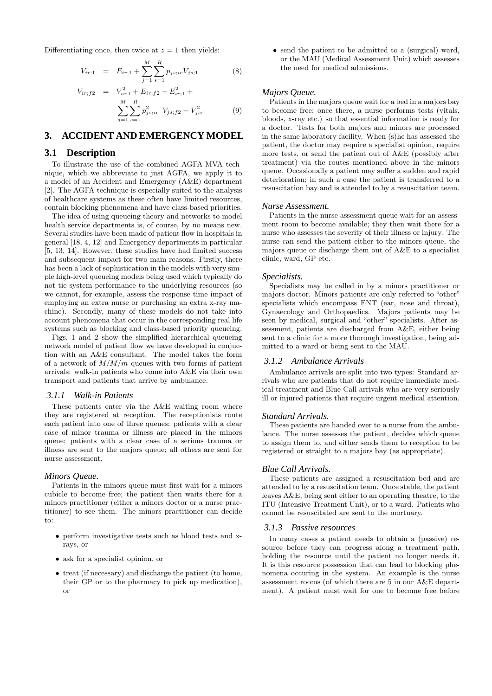Differentiating once, then twice at  $z = 1$  then yields:

$$
V_{ir;1} = E_{ir;1} + \sum_{j=1}^{M} \sum_{s=1}^{R} p_{js;ir} V_{js;1}
$$
 (8)

$$
V_{ir;f2} = V_{ir;1}^2 + E_{ir;f2} - E_{ir;1}^2 +
$$
  

$$
\sum_{j=1}^{M} \sum_{s=1}^{R} p_{js;ir}^2 V_{js;f2} - V_{js;1}^2
$$
 (9)

# **3. ACCIDENT AND EMERGENCY MODEL**

### **3.1 Description**

To illustrate the use of the combined AGFA-MVA technique, which we abbreviate to just AGFA, we apply it to a model of an Accident and Emergency (A&E) department [2]. The AGFA technique is especially suited to the analysis of healthcare systems as these often have limited resources, contain blocking phenomena and have class-based priorities.

The idea of using queueing theory and networks to model health service departments is, of course, by no means new. Several studies have been made of patient flow in hospitals in general [18, 4, 12] and Emergency departments in particular [5, 13, 14]. However, these studies have had limited success and subsequent impact for two main reasons. Firstly, there has been a lack of sophistication in the models with very simple high-level queueing models being used which typically do not tie system performance to the underlying resources (so we cannot, for example, assess the response time impact of employing an extra nurse or purchasing an extra x-ray machine). Secondly, many of these models do not take into account phenomena that occur in the corresponding real life systems such as blocking and class-based priority queueing.

Figs. 1 and 2 show the simplified hierarchical queueing network model of patient flow we have developed in conjuction with an A&E consultant. The model takes the form of a network of  $M/M/m$  queues with two forms of patient arrivals: walk-in patients who come into A&E via their own transport and patients that arrive by ambulance.

#### *3.1.1 Walk-in Patients*

These patients enter via the A&E waiting room where they are registered at reception. The receptionists route each patient into one of three queues: patients with a clear case of minor trauma or illness are placed in the minors queue; patients with a clear case of a serious trauma or illness are sent to the majors queue; all others are sent for nurse assessment.

#### *Minors Queue.*

Patients in the minors queue must first wait for a minors cubicle to become free; the patient then waits there for a minors practitioner (either a minors doctor or a nurse practitioner) to see them. The minors practitioner can decide to:

- perform investigative tests such as blood tests and xrays, or
- ask for a specialist opinion, or
- treat (if necessary) and discharge the patient (to home, their GP or to the pharmacy to pick up medication), or

• send the patient to be admitted to a (surgical) ward, or the MAU (Medical Assessment Unit) which assesses the need for medical admissions.

#### *Majors Queue.*

Patients in the majors queue wait for a bed in a majors bay to become free; once there, a nurse performs tests (vitals, bloods, x-ray etc.) so that essential information is ready for a doctor. Tests for both majors and minors are processed in the same laboratory facility. When (s)he has assessed the patient, the doctor may require a specialist opinion, require more tests, or send the patient out of A&E (possibly after treatment) via the routes mentioned above in the minors queue. Occasionally a patient may suffer a sudden and rapid deterioration; in such a case the patient is transferred to a resuscitation bay and is attended to by a resuscitation team.

#### *Nurse Assessment.*

Patients in the nurse assessment queue wait for an assessment room to become available; they then wait there for a nurse who assesses the severity of their illness or injury. The nurse can send the patient either to the minors queue, the majors queue or discharge them out of A&E to a specialist clinic, ward, GP etc.

#### *Specialists.*

Specialists may be called in by a minors practitioner or majors doctor. Minors patients are only referred to "other" specialists which encompass ENT (ear, nose and throat), Gynaecology and Orthopaedics. Majors patients may be seen by medical, surgical and "other" specialists. After assessment, patients are discharged from A&E, either being sent to a clinic for a more thorough investigation, being admitted to a ward or being sent to the MAU.

#### *3.1.2 Ambulance Arrivals*

Ambulance arrivals are split into two types: Standard arrivals who are patients that do not require immediate medical treatment and Blue Call arrivals who are very seriously ill or injured patients that require urgent medical attention.

#### *Standard Arrivals.*

These patients are handed over to a nurse from the ambulance. The nurse assesses the patient, decides which queue to assign them to, and either sends them to reception to be registered or straight to a majors bay (as appropriate).

#### *Blue Call Arrivals.*

These patients are assigned a resuscitation bed and are attended to by a resuscitation team. Once stable, the patient leaves A&E, being sent either to an operating theatre, to the ITU (Intensive Treatment Unit), or to a ward. Patients who cannot be resuscitated are sent to the mortuary.

#### *3.1.3 Passive resources*

In many cases a patient needs to obtain a (passive) resource before they can progress along a treatment path, holding the resource until the patient no longer needs it. It is this resource possession that can lead to blocking phenomena occuring in the system. An example is the nurse assessment rooms (of which there are 5 in our A&E department). A patient must wait for one to become free before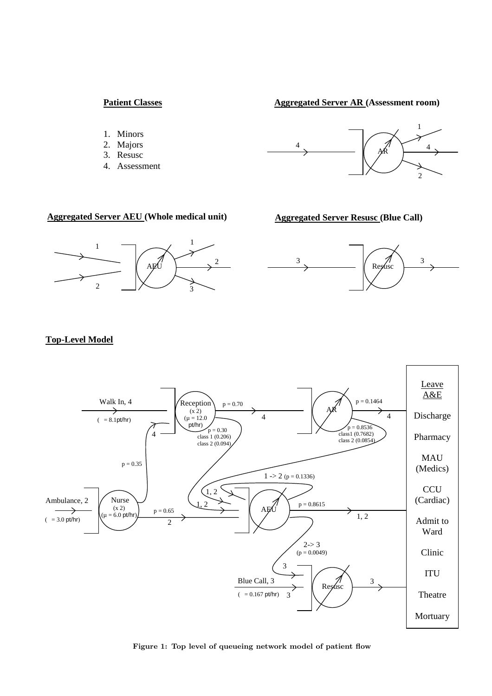# **Patient Classes**

**Aggregated Server AR (Assessment room)**

- 1. Minors
- 2. Majors
- 3. Resusc
- 4. Assessment



# **Aggregated Server AEU (Whole medical unit) Aggregated Server Resusc (Blue Call)**







# **Top-Level Model**



Figure 1: Top level of queueing network model of patient flow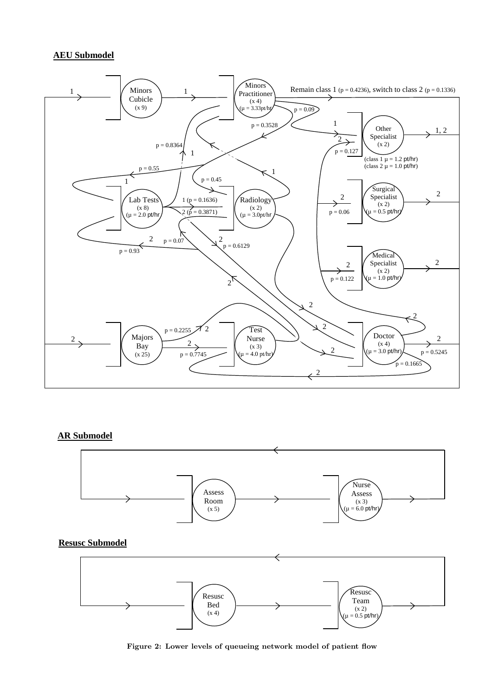# **AEU Submodel**



# **AR Submodel**



Figure 2: Lower levels of queueing network model of patient flow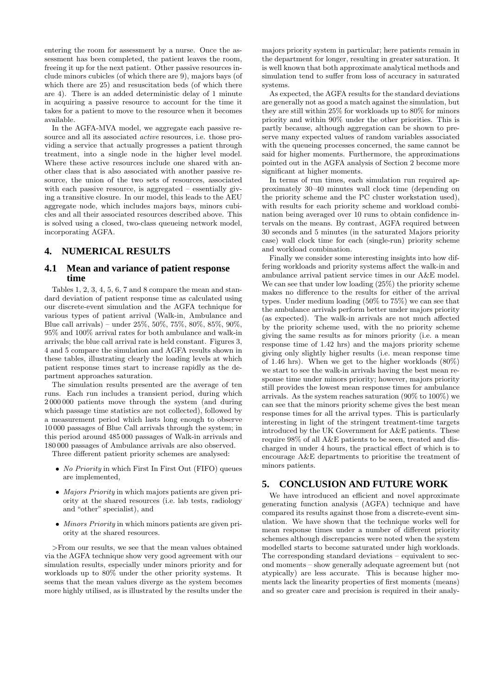entering the room for assessment by a nurse. Once the assessment has been completed, the patient leaves the room, freeing it up for the next patient. Other passive resources include minors cubicles (of which there are 9), majors bays (of which there are 25) and resuscitation beds (of which there are 4). There is an added deterministic delay of 1 minute in acquiring a passive resource to account for the time it takes for a patient to move to the resource when it becomes available.

In the AGFA-MVA model, we aggregate each passive resource and all its associated active resources, i.e. those providing a service that actually progresses a patient through treatment, into a single node in the higher level model. Where these active resources include one shared with another class that is also associated with another passive resource, the union of the two sets of resources, associated with each passive resource, is aggregated – essentially giving a transitive closure. In our model, this leads to the AEU aggregate node, which includes majors bays, minors cubicles and all their associated resources described above. This is solved using a closed, two-class queueing network model, incorporating AGFA.

# **4. NUMERICAL RESULTS**

### **4.1 Mean and variance of patient response time**

Tables 1, 2, 3, 4, 5, 6, 7 and 8 compare the mean and standard deviation of patient response time as calculated using our discrete-event simulation and the AGFA technique for various types of patient arrival (Walk-in, Ambulance and Blue call arrivals) – under 25%, 50%, 75%, 80%, 85%, 90%, 95% and 100% arrival rates for both ambulance and walk-in arrivals; the blue call arrival rate is held constant. Figures 3, 4 and 5 compare the simulation and AGFA results shown in these tables, illustrating clearly the loading levels at which patient response times start to increase rapidly as the department approaches saturation.

The simulation results presented are the average of ten runs. Each run includes a transient period, during which 2 000 000 patients move through the system (and during which passage time statistics are not collected), followed by a measurement period which lasts long enough to observe 10 000 passages of Blue Call arrivals through the system; in this period around 485 000 passages of Walk-in arrivals and 180 000 passages of Ambulance arrivals are also observed.

Three different patient priority schemes are analysed:

- No Priority in which First In First Out (FIFO) queues are implemented,
- Majors Priority in which majors patients are given priority at the shared resources (i.e. lab tests, radiology and "other" specialist), and
- Minors Priority in which minors patients are given priority at the shared resources.

>From our results, we see that the mean values obtained via the AGFA technique show very good agreement with our simulation results, especially under minors priority and for workloads up to 80% under the other priority systems. It seems that the mean values diverge as the system becomes more highly utilised, as is illustrated by the results under the

majors priority system in particular; here patients remain in the department for longer, resulting in greater saturation. It is well known that both approximate analytical methods and simulation tend to suffer from loss of accuracy in saturated systems.

As expected, the AGFA results for the standard deviations are generally not as good a match against the simulation, but they are still within 25% for workloads up to 80% for minors priority and within 90% under the other priorities. This is partly because, although aggregation can be shown to preserve many expected values of random variables associated with the queueing processes concerned, the same cannot be said for higher moments. Furthermore, the approximations pointed out in the AGFA analysis of Section 2 become more significant at higher moments.

In terms of run times, each simulation run required approximately 30–40 minutes wall clock time (depending on the priority scheme and the PC cluster workstation used), with results for each priority scheme and workload combination being averaged over 10 runs to obtain confidence intervals on the means. By contrast, AGFA required between 30 seconds and 5 minutes (in the saturated Majors priority case) wall clock time for each (single-run) priority scheme and workload combination.

Finally we consider some interesting insights into how differing workloads and priority systems affect the walk-in and ambulance arrival patient service times in our A&E model. We can see that under low loading (25%) the priority scheme makes no difference to the results for either of the arrival types. Under medium loading (50% to 75%) we can see that the ambulance arrivals perform better under majors priority (as expected). The walk-in arrivals are not much affected by the priority scheme used, with the no priority scheme giving the same results as for minors priority (i.e. a mean response time of 1.42 hrs) and the majors priority scheme giving only slightly higher results (i.e. mean response time of 1.46 hrs). When we get to the higher workloads (80%) we start to see the walk-in arrivals having the best mean response time under minors priority; however, majors priority still provides the lowest mean response times for ambulance arrivals. As the system reaches saturation (90% to 100%) we can see that the minors priority scheme gives the best mean response times for all the arrival types. This is particularly interesting in light of the stringent treatment-time targets introduced by the UK Government for A&E patients. These require 98% of all A&E patients to be seen, treated and discharged in under 4 hours, the practical effect of which is to encourage A&E departments to prioritise the treatment of minors patients.

# **5. CONCLUSION AND FUTURE WORK**

We have introduced an efficient and novel approximate generating function analysis (AGFA) technique and have compared its results against those from a discrete-event simulation. We have shown that the technique works well for mean response times under a number of different priority schemes although discrepancies were noted when the system modelled starts to become saturated under high workloads. The corresponding standard deviations – equivalent to second moments – show generally adequate agreement but (not atypically) are less accurate. This is because higher moments lack the linearity properties of first moments (means) and so greater care and precision is required in their analy-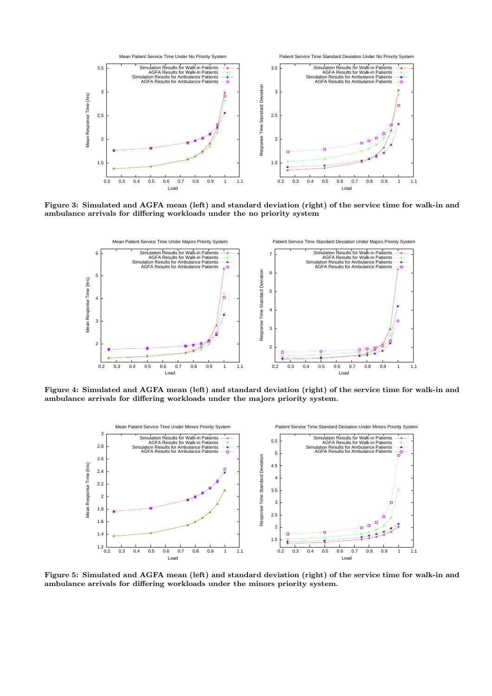

Figure 3: Simulated and AGFA mean (left) and standard deviation (right) of the service time for walk-in and ambulance arrivals for differing workloads under the no priority system



Figure 4: Simulated and AGFA mean (left) and standard deviation (right) of the service time for walk-in and ambulance arrivals for differing workloads under the majors priority system.



Figure 5: Simulated and AGFA mean (left) and standard deviation (right) of the service time for walk-in and ambulance arrivals for differing workloads under the minors priority system.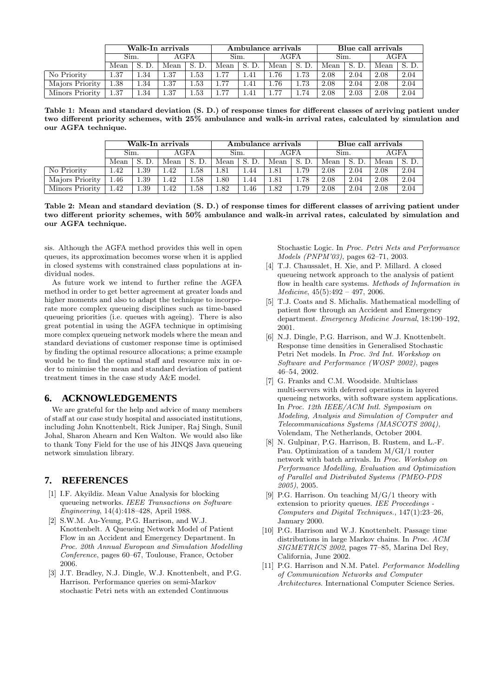|                 |      | Walk-In arrivals |      |       |      |      | Ambulance arrivals |          | Blue call arrivals |      |      |       |
|-----------------|------|------------------|------|-------|------|------|--------------------|----------|--------------------|------|------|-------|
|                 | Sim. |                  | AGFA |       | Sim. |      | AGFA               |          | Sim.               |      | AGFA |       |
|                 | Mean |                  | Mean | Mean  |      |      | Mean               |          | Mean               |      | Mean | S. D. |
| No Priority     | 1.37 | 1.34             | 1.37 | . .53 | 1.77 | .41  | 1.76               | 1.73     | 2.08               | 2.04 | 2.08 | 2.04  |
| Majors Priority | 1.38 | 1.34             | 1.37 | 1.53  | 1.77 | .41  | <b>1.76</b>        | $1.73 -$ | 2.08               | 2.04 | 2.08 | 2.04  |
| Minors Priority | 1.37 | 1.34             | 1.37 | 1.53  | 77   | . 41 | 77                 | .74      | 2.08               | 2.03 | 2.08 | 2.04  |

Table 1: Mean and standard deviation (S. D.) of response times for different classes of arriving patient under two different priority schemes, with 25% ambulance and walk-in arrival rates, calculated by simulation and our AGFA technique.

|                 |      | Walk-In arrivals |      |      |      |       | Ambulance arrivals |        | Blue call arrivals |      |      |      |  |
|-----------------|------|------------------|------|------|------|-------|--------------------|--------|--------------------|------|------|------|--|
|                 | Sim. |                  | AGFA |      | Sim. |       | AGFA               |        | Sim.               |      | AGFA |      |  |
|                 | Mean |                  | Mean | Mean |      | S. D. | Mean               | S.     | Mean               |      | Mean |      |  |
| No Priority     | .42  | 1.39             | 1.42 | 1.58 | 1.81 | 1.44  | 1.81               | 1.79   | 2.08               | 2.04 | 2.08 | 2.04 |  |
| Majors Priority | .46  | 1.39             | 1.42 | .58  | 1.80 | 1.44  | 1.81               | . . 78 | 2.08               | 2.04 | 2.08 | 2.04 |  |
| Minors Priority | .42  | .39              | 1.42 | 1.58 | 1.82 | 1.46  | 1.82               | .79    | 2.08               | 2.04 | 2.08 | 2.04 |  |

Table 2: Mean and standard deviation (S. D.) of response times for different classes of arriving patient under two different priority schemes, with 50% ambulance and walk-in arrival rates, calculated by simulation and our AGFA technique.

sis. Although the AGFA method provides this well in open queues, its approximation becomes worse when it is applied in closed systems with constrained class populations at individual nodes.

As future work we intend to further refine the AGFA method in order to get better agreement at greater loads and higher moments and also to adapt the technique to incorporate more complex queueing disciplines such as time-based queueing priorities (i.e. queues with ageing). There is also great potential in using the AGFA technique in optimising more complex queueing network models where the mean and standard deviations of customer response time is optimised by finding the optimal resource allocations; a prime example would be to find the optimal staff and resource mix in order to minimise the mean and standard deviation of patient treatment times in the case study A&E model.

# **6. ACKNOWLEDGEMENTS**

We are grateful for the help and advice of many members of staff at our case study hospital and associated institutions, including John Knottenbelt, Rick Juniper, Raj Singh, Sunil Johal, Sharon Ahearn and Ken Walton. We would also like to thank Tony Field for the use of his JINQS Java queueing network simulation library.

# **7. REFERENCES**

- [1] I.F. Akyildiz. Mean Value Analysis for blocking queueing networks. IEEE Transactions on Software Engineering, 14(4):418–428, April 1988.
- [2] S.W.M. Au-Yeung, P.G. Harrison, and W.J. Knottenbelt. A Queueing Network Model of Patient Flow in an Accident and Emergency Department. In Proc. 20th Annual European and Simulation Modelling Conference, pages 60–67, Toulouse, France, October 2006.
- [3] J.T. Bradley, N.J. Dingle, W.J. Knottenbelt, and P.G. Harrison. Performance queries on semi-Markov stochastic Petri nets with an extended Continuous

Stochastic Logic. In Proc. Petri Nets and Performance Models (PNPM'03), pages 62–71, 2003.

- [4] T.J. Chaussalet, H. Xie, and P. Millard. A closed queueing network approach to the analysis of patient flow in health care systems. Methods of Information in  $Medicine, 45(5):492 - 497, 2006.$
- [5] T.J. Coats and S. Michalis. Mathematical modelling of patient flow through an Accident and Emergency department. Emergency Medicine Journal, 18:190–192, 2001.
- [6] N.J. Dingle, P.G. Harrison, and W.J. Knottenbelt. Response time densities in Generalised Stochastic Petri Net models. In Proc. 3rd Int. Workshop on Software and Performance (WOSP 2002), pages 46–54, 2002.
- [7] G. Franks and C.M. Woodside. Multiclass multi-servers with deferred operations in layered queueing networks, with software system applications. In Proc. 12th IEEE/ACM Intl. Symposium on Modeling, Analysis and Simulation of Computer and Telecommunications Systems (MASCOTS 2004), Volendam, The Netherlands, October 2004.
- [8] N. Gulpinar, P.G. Harrison, B. Rustem, and L.-F. Pau. Optimization of a tandem M/GI/1 router network with batch arrivals. In Proc. Workshop on Performance Modelling, Evaluation and Optimization of Parallel and Distributed Systems (PMEO-PDS 2005), 2005.
- [9] P.G. Harrison. On teaching M/G/1 theory with extension to priority queues. IEE Proceedings - Computers and Digital Techniques., 147(1):23–26, January 2000.
- [10] P.G. Harrison and W.J. Knottenbelt. Passage time distributions in large Markov chains. In Proc. ACM SIGMETRICS 2002, pages 77–85, Marina Del Rey, California, June 2002.
- [11] P.G. Harrison and N.M. Patel. Performance Modelling of Communication Networks and Computer Architectures. International Computer Science Series.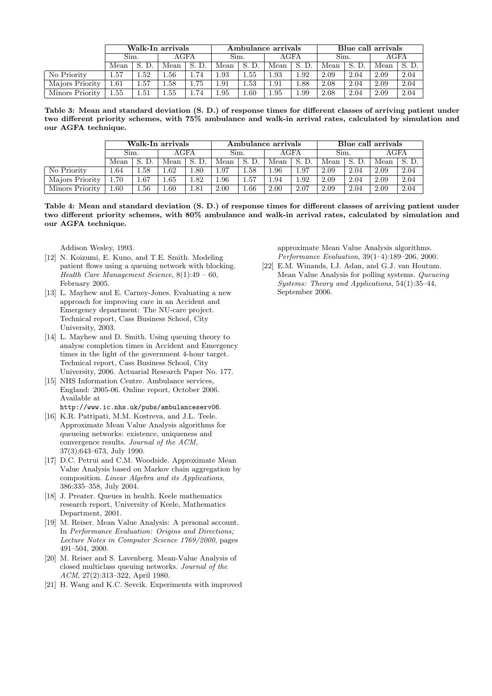|                 | Walk-In arrivals |      |          |          |      |      | Ambulance arrivals |      | Blue call arrivals |      |      |      |  |
|-----------------|------------------|------|----------|----------|------|------|--------------------|------|--------------------|------|------|------|--|
|                 | Sim.             |      | AGFA     |          | Sim. |      | AGFA               |      | Sim.               |      | AGFA |      |  |
|                 | Mean             |      | Mean     | D.<br>S. | Mean |      | Mean               | S.   | Mean               |      | Mean |      |  |
| No Priority     | 1.57             | .52  | .56      | 1.74     | 1.93 | . 55 | 1.93               | .92  | 2.09               | 2.04 | 2.09 | 2.04 |  |
| Majors Priority | $1.61\,$         | .57  | $1.58\,$ | 1.75     | 1.91 | 1.53 | 1.91               | 1.88 | 2.08               | 2.04 | 2.09 | 2.04 |  |
| Minors Priority | 1.55             | 1.51 | $1.55\,$ | 1.74     | 1.95 | 1.60 | 1.95               | 1.99 | 2.08               | 2.04 | 2.09 | 2.04 |  |

Table 3: Mean and standard deviation (S. D.) of response times for different classes of arriving patient under two different priority schemes, with 75% ambulance and walk-in arrival rates, calculated by simulation and our AGFA technique.

|                 |      |      | Walk-In arrivals |      |      |          | Ambulance arrivals |      | Blue call arrivals |      |      |      |  |
|-----------------|------|------|------------------|------|------|----------|--------------------|------|--------------------|------|------|------|--|
|                 | Sim. |      | AGFA             |      | Sim. |          | AGFA               |      | Sim.               |      | AGFA |      |  |
|                 | Mean |      | Mean             |      | Mean | S. D.    | Mean               |      | Mean               | S.   | Mean |      |  |
| No Priority     | .64  | 1.58 | . 62             | .80  | L.97 | $1.58\,$ | 1.96               | 1.97 | 2.09               | 2.04 | 2.09 | 2.04 |  |
| Majors Priority | 1.70 | 1.67 | 1.65             | .82  | 1.96 | 1.57     | 1.94               | 1.92 | 2.09               | 2.04 | 2.09 | 2.04 |  |
| Minors Priority | 1.60 | 1.56 | 0.60             | 1.81 | 2.00 | 1.66     | 2.00               | 2.07 | 2.09               | 2.04 | 2.09 | 2.04 |  |

Table 4: Mean and standard deviation (S. D.) of response times for different classes of arriving patient under two different priority schemes, with 80% ambulance and walk-in arrival rates, calculated by simulation and our AGFA technique.

Addison Wesley, 1993.

- [12] N. Koizumi, E. Kuno, and T.E. Smith. Modeling patient flows using a queuing network with blocking. Health Care Management Science, 8(1):49 – 60, February 2005.
- [13] L. Mayhew and E. Carney-Jones. Evaluating a new approach for improving care in an Accident and Emergency department: The NU-care project. Technical report, Cass Business School, City University, 2003.
- [14] L. Mayhew and D. Smith. Using queuing theory to analyse completion times in Accident and Emergency times in the light of the government 4-hour target. Technical report, Cass Business School, City University, 2006. Actuarial Research Paper No. 177.
- [15] NHS Information Centre. Ambulance services, England: 2005-06. Online report, October 2006. Available at
- http://www.ic.nhs.uk/pubs/ambulanceserv06.
- [16] K.R. Pattipati, M.M. Kostreva, and J.L. Teele. Approximate Mean Value Analysis algorithms for queueing networks: existence, uniqueness and convergence results. Journal of the ACM, 37(3):643–673, July 1990.
- [17] D.C. Petrui and C.M. Woodside. Approximate Mean Value Analysis based on Markov chain aggregation by composition. Linear Algebra and its Applications, 386:335–358, July 2004.
- [18] J. Preater. Queues in health. Keele mathematics research report, University of Keele, Mathematics Department, 2001.
- [19] M. Reiser. Mean Value Analysis: A personal account. In Performance Evaluation: Origins and Directions: Lecture Notes in Computer Science 1769/2000, pages 491–504, 2000.
- [20] M. Reiser and S. Lavenberg. Mean-Value Analysis of closed multiclass queuing networks. Journal of the ACM, 27(2):313–322, April 1980.
- [21] H. Wang and K.C. Sevcik. Experiments with improved

approximate Mean Value Analysis algorithms. Performance Evaluation, 39(1–4):189–206, 2000.

[22] E.M. Winands, I.J. Adan, and G.J. van Houtum. Mean Value Analysis for polling systems. Queueing Systems: Theory and Applications, 54(1):35–44, September 2006.